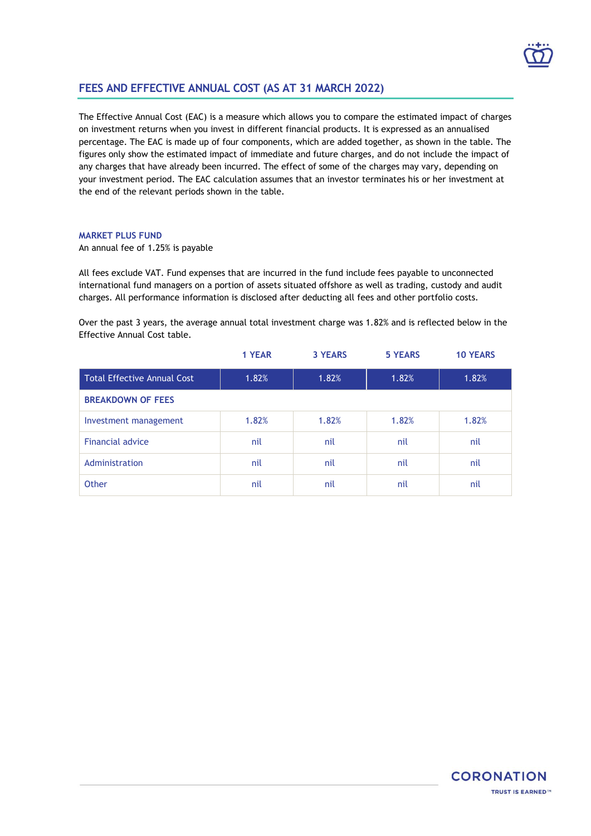

## **FEES AND EFFECTIVE ANNUAL COST (AS AT 31 MARCH 2022)**

The Effective Annual Cost (EAC) is a measure which allows you to compare the estimated impact of charges on investment returns when you invest in different financial products. It is expressed as an annualised percentage. The EAC is made up of four components, which are added together, as shown in the table. The figures only show the estimated impact of immediate and future charges, and do not include the impact of any charges that have already been incurred. The effect of some of the charges may vary, depending on your investment period. The EAC calculation assumes that an investor terminates his or her investment at the end of the relevant periods shown in the table.

## **MARKET PLUS FUND**

An annual fee of 1.25% is payable

All fees exclude VAT. Fund expenses that are incurred in the fund include fees payable to unconnected international fund managers on a portion of assets situated offshore as well as trading, custody and audit charges. All performance information is disclosed after deducting all fees and other portfolio costs.

Over the past 3 years, the average annual total investment charge was 1.82% and is reflected below in the Effective Annual Cost table.

|                                    | 1 YEAR | <b>3 YEARS</b> | <b>5 YEARS</b> | <b>10 YEARS</b> |  |  |
|------------------------------------|--------|----------------|----------------|-----------------|--|--|
| <b>Total Effective Annual Cost</b> | 1.82%  | 1.82%          | 1.82%          | 1.82%           |  |  |
| <b>BREAKDOWN OF FEES</b>           |        |                |                |                 |  |  |
| Investment management              | 1.82%  | 1.82%          | 1.82%          | 1.82%           |  |  |
| <b>Financial advice</b>            | nil    | nil            | nil            | nil             |  |  |
| Administration                     | nil    | nil            | nil            | nil             |  |  |
| Other                              | nil    | nil            | nil            | nil             |  |  |